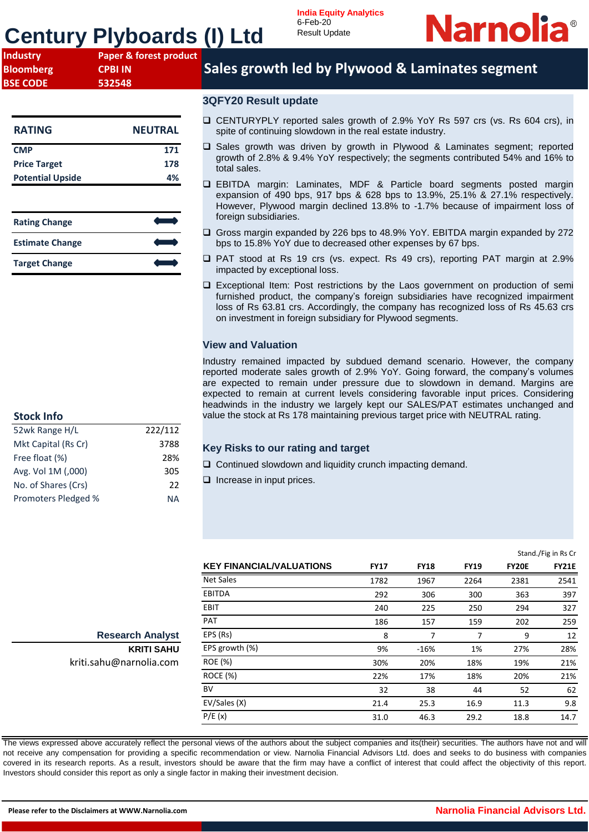# **Century Plyboards (I) Ltd**



| <b>Industry</b>  | Paper & forest product |
|------------------|------------------------|
| <b>Bloomberg</b> | <b>CPBI IN</b>         |
| <b>BSE CODE</b>  | 532548                 |

| <b>RATING</b>           | <b>NEUTRAL</b> |
|-------------------------|----------------|
| <b>CMP</b>              | 171            |
| <b>Price Target</b>     | 178            |
| <b>Potential Upside</b> | 4%             |

| <b>Rating Change</b>   |  |
|------------------------|--|
| <b>Estimate Change</b> |  |
| <b>Target Change</b>   |  |

## **Stock Info**

| 52wk Range H/L      | 222/112 |
|---------------------|---------|
| Mkt Capital (Rs Cr) | 3788    |
| Free float (%)      | 28%     |
| Avg. Vol 1M (,000)  | 305     |
| No. of Shares (Crs) | 22      |
| Promoters Pledged % | NА      |

## **Sales growth led by Plywood & Laminates segment**

### **3QFY20 Result update**

- ❑ CENTURYPLY reported sales growth of 2.9% YoY Rs 597 crs (vs. Rs 604 crs), in spite of continuing slowdown in the real estate industry.
- ❑ Sales growth was driven by growth in Plywood & Laminates segment; reported growth of 2.8% & 9.4% YoY respectively; the segments contributed 54% and 16% to total sales.
- ❑ EBITDA margin: Laminates, MDF & Particle board segments posted margin expansion of 490 bps, 917 bps & 628 bps to 13.9%, 25.1% & 27.1% respectively. However, Plywood margin declined 13.8% to -1.7% because of impairment loss of foreign subsidiaries.
- ❑ Gross margin expanded by 226 bps to 48.9% YoY. EBITDA margin expanded by 272 bps to 15.8% YoY due to decreased other expenses by 67 bps.
- ❑ PAT stood at Rs 19 crs (vs. expect. Rs 49 crs), reporting PAT margin at 2.9% impacted by exceptional loss.
- ❑ Exceptional Item: Post restrictions by the Laos government on production of semi furnished product, the company's foreign subsidiaries have recognized impairment loss of Rs 63.81 crs. Accordingly, the company has recognized loss of Rs 45.63 crs on investment in foreign subsidiary for Plywood segments.

### **View and Valuation**

Industry remained impacted by subdued demand scenario. However, the company reported moderate sales growth of 2.9% YoY. Going forward, the company's volumes are expected to remain under pressure due to slowdown in demand. Margins are expected to remain at current levels considering favorable input prices. Considering headwinds in the industry we largely kept our SALES/PAT estimates unchanged and value the stock at Rs 178 maintaining previous target price with NEUTRAL rating.

### **Key Risks to our rating and target**

- ❑ Continued slowdown and liquidity crunch impacting demand.
- □ Increase in input prices.

| Stand./Fig in Rs Cr |
|---------------------|
| <b>FY21E</b>        |
| 2541                |
| 397                 |
| 327                 |
| 259                 |
| 12                  |
| 28%                 |
| 21%                 |
| 21%                 |
| 62                  |
| 9.8                 |
| 14.7                |
|                     |

The views expressed above accurately reflect the personal views of the authors about the subject companies and its(their) securities. The authors have not and will not receive any compensation for providing a specific recommendation or view. Narnolia Financial Advisors Ltd. does and seeks to do business with companies covered in its research reports. As a result, investors should be aware that the firm may have a conflict of interest that could affect the objectivity of this report. Investors should consider this report as only a single factor in making their investment decision.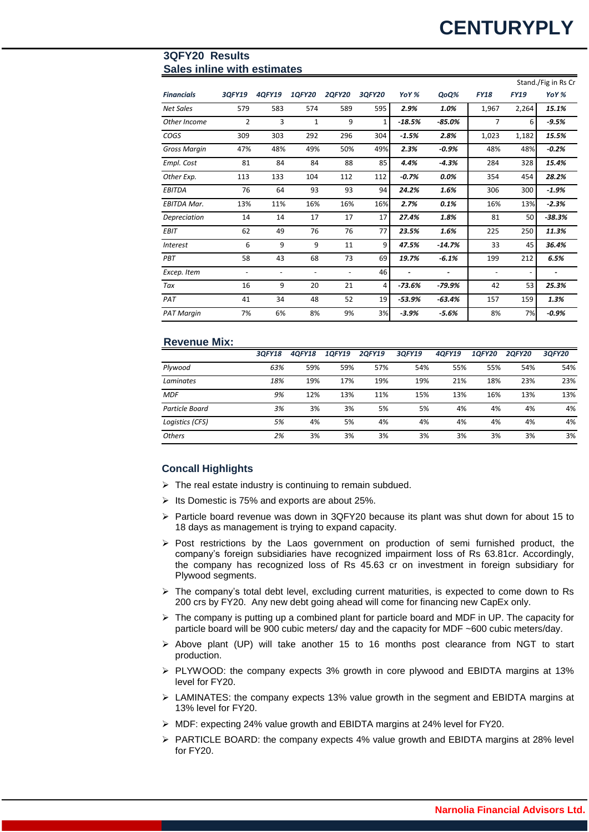### **3QFY20 Results Sales inline with estimates**

|                     |                |        |                          |               |               |          |          |             |                          | Stand./Fig in Rs Cr |
|---------------------|----------------|--------|--------------------------|---------------|---------------|----------|----------|-------------|--------------------------|---------------------|
| <b>Financials</b>   | 3QFY19         | 4QFY19 | <b>1QFY20</b>            | <b>2QFY20</b> | <b>3QFY20</b> | YoY %    | QoQ%     | <b>FY18</b> | <b>FY19</b>              | YoY %               |
| <b>Net Sales</b>    | 579            | 583    | 574                      | 589           | 595           | 2.9%     | 1.0%     | 1,967       | 2,264                    | 15.1%               |
| Other Income        | $\overline{2}$ | 3      | 1                        | 9             | 1             | $-18.5%$ | $-85.0%$ | 7           | 6                        | $-9.5%$             |
| COGS                | 309            | 303    | 292                      | 296           | 304           | $-1.5%$  | 2.8%     | 1,023       | 1,182                    | 15.5%               |
| <b>Gross Margin</b> | 47%            | 48%    | 49%                      | 50%           | 49%           | 2.3%     | $-0.9%$  | 48%         | 48%                      | $-0.2%$             |
| Empl. Cost          | 81             | 84     | 84                       | 88            | 85            | 4.4%     | $-4.3%$  | 284         | 328                      | 15.4%               |
| Other Exp.          | 113            | 133    | 104                      | 112           | 112           | $-0.7%$  | $0.0\%$  | 354         | 454                      | 28.2%               |
| <b>EBITDA</b>       | 76             | 64     | 93                       | 93            | 94            | 24.2%    | 1.6%     | 306         | 300                      | $-1.9%$             |
| <b>EBITDA Mar.</b>  | 13%            | 11%    | 16%                      | 16%           | 16%           | 2.7%     | 0.1%     | 16%         | 13%                      | $-2.3%$             |
| Depreciation        | 14             | 14     | 17                       | 17            | 17            | 27.4%    | 1.8%     | 81          | 50                       | $-38.3%$            |
| <b>EBIT</b>         | 62             | 49     | 76                       | 76            | 77            | 23.5%    | 1.6%     | 225         | 250                      | 11.3%               |
| <b>Interest</b>     | 6              | 9      | 9                        | 11            | 9             | 47.5%    | $-14.7%$ | 33          | 45                       | 36.4%               |
| PBT                 | 58             | 43     | 68                       | 73            | 69            | 19.7%    | $-6.1%$  | 199         | 212                      | 6.5%                |
| Excep. Item         |                | -      | $\overline{\phantom{a}}$ |               | 46            |          |          |             | $\overline{\phantom{a}}$ |                     |
| Tax                 | 16             | 9      | 20                       | 21            | 4             | $-73.6%$ | $-79.9%$ | 42          | 53                       | 25.3%               |
| PAT                 | 41             | 34     | 48                       | 52            | 19            | $-53.9%$ | $-63.4%$ | 157         | 159                      | 1.3%                |
| <b>PAT Margin</b>   | 7%             | 6%     | 8%                       | 9%            | 3%            | $-3.9%$  | $-5.6%$  | 8%          | 7%                       | $-0.9%$             |

### **Revenue Mix:**

|                  | 30FY18 | 40FY18 | 10FY19 | <b>20FY19</b> | 30FY19 | 40FY19 | <b>10FY20</b> | <b>20FY20</b> | 30FY20 |
|------------------|--------|--------|--------|---------------|--------|--------|---------------|---------------|--------|
| Plywood          | 63%    | 59%    | 59%    | 57%           | 54%    | 55%    | 55%           | 54%           | 54%    |
| <b>Laminates</b> | 18%    | 19%    | 17%    | 19%           | 19%    | 21%    | 18%           | 23%           | 23%    |
| <b>MDF</b>       | 9%     | 12%    | 13%    | 11%           | 15%    | 13%    | 16%           | 13%           | 13%    |
| Particle Board   | 3%     | 3%     | 3%     | 5%            | 5%     | 4%     | 4%            | 4%            | 4%     |
| Logistics (CFS)  | 5%     | 4%     | 5%     | 4%            | 4%     | 4%     | 4%            | 4%            | 4%     |
| <b>Others</b>    | 2%     | 3%     | 3%     | 3%            | 3%     | 3%     | 3%            | 3%            | 3%     |

### **Concall Highlights**

- $\triangleright$  The real estate industry is continuing to remain subdued.
- $\triangleright$  Its Domestic is 75% and exports are about 25%.
- ➢ Particle board revenue was down in 3QFY20 because its plant was shut down for about 15 to 18 days as management is trying to expand capacity.
- $\triangleright$  Post restrictions by the Laos government on production of semi furnished product, the company's foreign subsidiaries have recognized impairment loss of Rs 63.81cr. Accordingly, the company has recognized loss of Rs 45.63 cr on investment in foreign subsidiary for Plywood segments.
- ➢ The company's total debt level, excluding current maturities, is expected to come down to Rs 200 crs by FY20. Any new debt going ahead will come for financing new CapEx only.
- $\triangleright$  The company is putting up a combined plant for particle board and MDF in UP. The capacity for particle board will be 900 cubic meters/ day and the capacity for MDF ~600 cubic meters/day.
- ➢ Above plant (UP) will take another 15 to 16 months post clearance from NGT to start production.
- ➢ PLYWOOD: the company expects 3% growth in core plywood and EBIDTA margins at 13% level for FY20.
- $\triangleright$  LAMINATES: the company expects 13% value growth in the segment and EBIDTA margins at 13% level for FY20.
- ➢ MDF: expecting 24% value growth and EBIDTA margins at 24% level for FY20.
- $\triangleright$  PARTICLE BOARD: the company expects 4% value growth and EBIDTA margins at 28% level for FY20.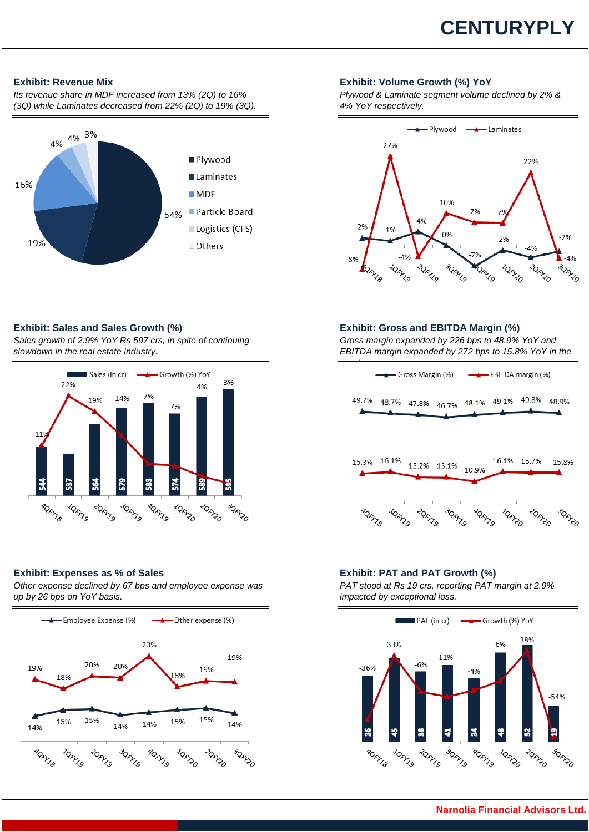# **CENTURYPLY**

*Its revenue share in MDF increased from 13% (2Q) to 16% (3Q) while Laminates decreased from 22% (2Q) to 19% (3Q).*



### **Exhibit: Revenue Mix Exhibit: Volume Growth (%) YoY**

*Plywood & Laminate segment volume declined by 2% & 4% YoY respectively.*



*Sales growth of 2.9% YoY Rs 597 crs, in spite of continuing slowdown in the real estate industry.*



### **Exhibit: Expenses as % of Sales Exhibit: PAT and PAT Growth (%)**

*Other expense declined by 67 bps and employee expense was up by 26 bps on YoY basis.*



### **Exhibit: Sales and Sales Growth (%) Exhibit: Gross and EBITDA Margin (%)**

*Gross margin expanded by 226 bps to 48.9% YoY and EBITDA margin expanded by 272 bps to 15.8% YoY in the* 



*PAT stood at Rs 19 crs, reporting PAT margin at 2.9% impacted by exceptional loss.* 

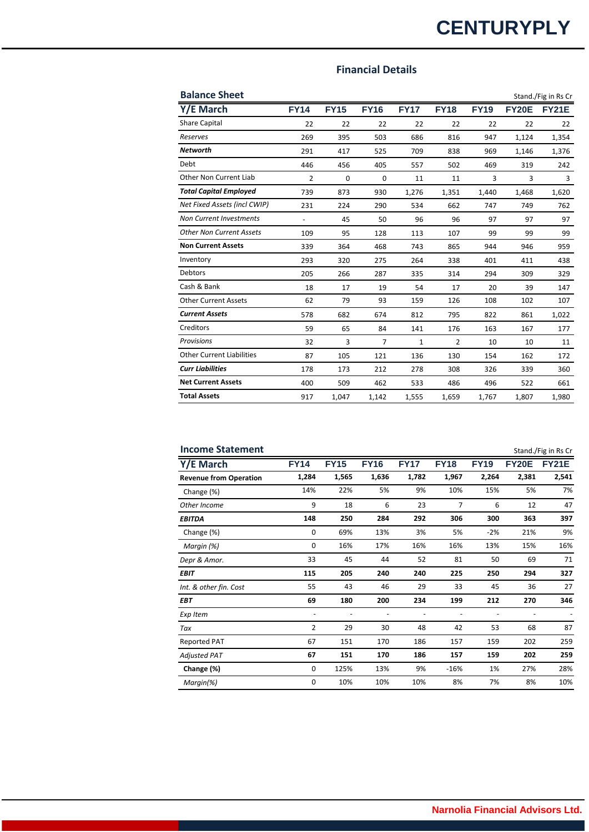# **CENTURYPLY**

### **Financial Details**

| <b>Balance Sheet</b>             |                          |             |                |             |             |             |              | Stand./Fig in Rs Cr |
|----------------------------------|--------------------------|-------------|----------------|-------------|-------------|-------------|--------------|---------------------|
| Y/E March                        | <b>FY14</b>              | <b>FY15</b> | <b>FY16</b>    | <b>FY17</b> | <b>FY18</b> | <b>FY19</b> | <b>FY20E</b> | <b>FY21E</b>        |
| <b>Share Capital</b>             | 22                       | 22          | 22             | 22          | 22          | 22          | 22           | 22                  |
| Reserves                         | 269                      | 395         | 503            | 686         | 816         | 947         | 1,124        | 1,354               |
| <b>Networth</b>                  | 291                      | 417         | 525            | 709         | 838         | 969         | 1,146        | 1,376               |
| Debt                             | 446                      | 456         | 405            | 557         | 502         | 469         | 319          | 242                 |
| Other Non Current Liab           | 2                        | $\mathbf 0$ | $\mathbf 0$    | 11          | 11          | 3           | 3            | 3                   |
| <b>Total Capital Employed</b>    | 739                      | 873         | 930            | 1,276       | 1,351       | 1,440       | 1,468        | 1,620               |
| Net Fixed Assets (incl CWIP)     | 231                      | 224         | 290            | 534         | 662         | 747         | 749          | 762                 |
| <b>Non Current Investments</b>   | $\overline{\phantom{a}}$ | 45          | 50             | 96          | 96          | 97          | 97           | 97                  |
| <b>Other Non Current Assets</b>  | 109                      | 95          | 128            | 113         | 107         | 99          | 99           | 99                  |
| <b>Non Current Assets</b>        | 339                      | 364         | 468            | 743         | 865         | 944         | 946          | 959                 |
| Inventory                        | 293                      | 320         | 275            | 264         | 338         | 401         | 411          | 438                 |
| <b>Debtors</b>                   | 205                      | 266         | 287            | 335         | 314         | 294         | 309          | 329                 |
| Cash & Bank                      | 18                       | 17          | 19             | 54          | 17          | 20          | 39           | 147                 |
| <b>Other Current Assets</b>      | 62                       | 79          | 93             | 159         | 126         | 108         | 102          | 107                 |
| <b>Current Assets</b>            | 578                      | 682         | 674            | 812         | 795         | 822         | 861          | 1,022               |
| Creditors                        | 59                       | 65          | 84             | 141         | 176         | 163         | 167          | 177                 |
| Provisions                       | 32                       | 3           | $\overline{7}$ | 1           | 2           | 10          | 10           | 11                  |
| <b>Other Current Liabilities</b> | 87                       | 105         | 121            | 136         | 130         | 154         | 162          | 172                 |
| <b>Curr Liabilities</b>          | 178                      | 173         | 212            | 278         | 308         | 326         | 339          | 360                 |
| <b>Net Current Assets</b>        | 400                      | 509         | 462            | 533         | 486         | 496         | 522          | 661                 |
| <b>Total Assets</b>              | 917                      | 1.047       | 1,142          | 1,555       | 1,659       | 1,767       | 1,807        | 1,980               |

| <b>Income Statement</b>       |                |             |             |             |             |             |              | Stand./Fig in Rs Cr |
|-------------------------------|----------------|-------------|-------------|-------------|-------------|-------------|--------------|---------------------|
| Y/E March                     | <b>FY14</b>    | <b>FY15</b> | <b>FY16</b> | <b>FY17</b> | <b>FY18</b> | <b>FY19</b> | <b>FY20E</b> | <b>FY21E</b>        |
| <b>Revenue from Operation</b> | 1,284          | 1,565       | 1,636       | 1,782       | 1,967       | 2,264       | 2,381        | 2,541               |
| Change (%)                    | 14%            | 22%         | 5%          | 9%          | 10%         | 15%         | 5%           | 7%                  |
| Other Income                  | 9              | 18          | 6           | 23          | 7           | 6           | 12           | 47                  |
| <b>EBITDA</b>                 | 148            | 250         | 284         | 292         | 306         | 300         | 363          | 397                 |
| Change (%)                    | 0              | 69%         | 13%         | 3%          | 5%          | $-2%$       | 21%          | 9%                  |
| Margin (%)                    | 0              | 16%         | 17%         | 16%         | 16%         | 13%         | 15%          | 16%                 |
| Depr & Amor.                  | 33             | 45          | 44          | 52          | 81          | 50          | 69           | 71                  |
| <b>EBIT</b>                   | 115            | 205         | 240         | 240         | 225         | 250         | 294          | 327                 |
| Int. & other fin. Cost        | 55             | 43          | 46          | 29          | 33          | 45          | 36           | 27                  |
| <b>EBT</b>                    | 69             | 180         | 200         | 234         | 199         | 212         | 270          | 346                 |
| Exp Item                      |                |             |             |             |             |             |              |                     |
| Tax                           | $\overline{2}$ | 29          | 30          | 48          | 42          | 53          | 68           | 87                  |
| <b>Reported PAT</b>           | 67             | 151         | 170         | 186         | 157         | 159         | 202          | 259                 |
| <b>Adjusted PAT</b>           | 67             | 151         | 170         | 186         | 157         | 159         | 202          | 259                 |
| Change (%)                    | 0              | 125%        | 13%         | 9%          | $-16%$      | 1%          | 27%          | 28%                 |
| Margin(%)                     | 0              | 10%         | 10%         | 10%         | 8%          | 7%          | 8%           | 10%                 |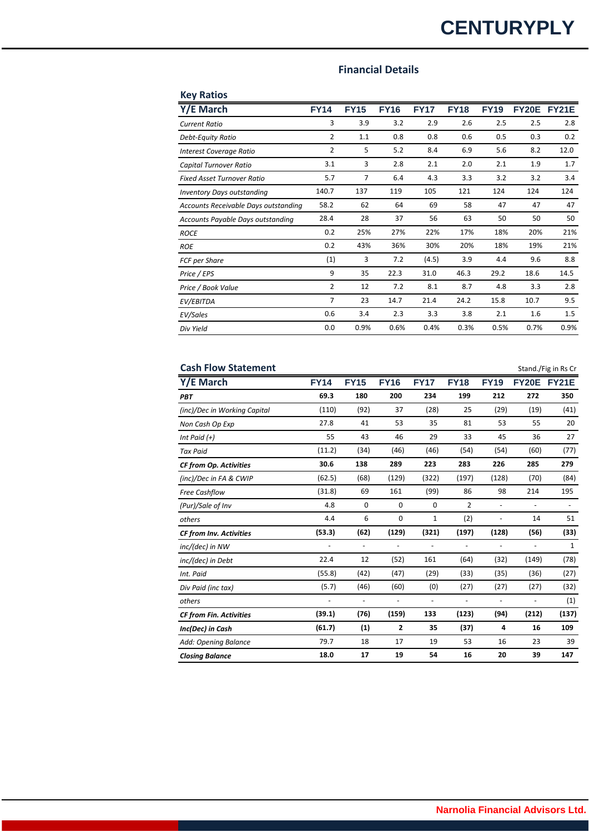# **CENTURYPLY**

### **Financial Details**

| <b>Key Ratios</b>                    |                |             |             |             |             |             |              |              |
|--------------------------------------|----------------|-------------|-------------|-------------|-------------|-------------|--------------|--------------|
| Y/E March                            | <b>FY14</b>    | <b>FY15</b> | <b>FY16</b> | <b>FY17</b> | <b>FY18</b> | <b>FY19</b> | <b>FY20E</b> | <b>FY21E</b> |
| <b>Current Ratio</b>                 | 3              | 3.9         | 3.2         | 2.9         | 2.6         | 2.5         | 2.5          | 2.8          |
| Debt-Equity Ratio                    | $\overline{2}$ | 1.1         | 0.8         | 0.8         | 0.6         | 0.5         | 0.3          | 0.2          |
| Interest Coverage Ratio              | 2              | 5           | 5.2         | 8.4         | 6.9         | 5.6         | 8.2          | 12.0         |
| Capital Turnover Ratio               | 3.1            | 3           | 2.8         | 2.1         | 2.0         | 2.1         | 1.9          | 1.7          |
| <b>Fixed Asset Turnover Ratio</b>    | 5.7            | 7           | 6.4         | 4.3         | 3.3         | 3.2         | 3.2          | 3.4          |
| <b>Inventory Days outstanding</b>    | 140.7          | 137         | 119         | 105         | 121         | 124         | 124          | 124          |
| Accounts Receivable Days outstanding | 58.2           | 62          | 64          | 69          | 58          | 47          | 47           | 47           |
| Accounts Payable Days outstanding    | 28.4           | 28          | 37          | 56          | 63          | 50          | 50           | 50           |
| <b>ROCE</b>                          | 0.2            | 25%         | 27%         | 22%         | 17%         | 18%         | 20%          | 21%          |
| <b>ROE</b>                           | 0.2            | 43%         | 36%         | 30%         | 20%         | 18%         | 19%          | 21%          |
| FCF per Share                        | (1)            | 3           | 7.2         | (4.5)       | 3.9         | 4.4         | 9.6          | 8.8          |
| Price / EPS                          | 9              | 35          | 22.3        | 31.0        | 46.3        | 29.2        | 18.6         | 14.5         |
| Price / Book Value                   | 2              | 12          | 7.2         | 8.1         | 8.7         | 4.8         | 3.3          | 2.8          |
| EV/EBITDA                            | $\overline{7}$ | 23          | 14.7        | 21.4        | 24.2        | 15.8        | 10.7         | 9.5          |
| EV/Sales                             | 0.6            | 3.4         | 2.3         | 3.3         | 3.8         | 2.1         | 1.6          | 1.5          |
| Div Yield                            | 0.0            | 0.9%        | 0.6%        | 0.4%        | 0.3%        | 0.5%        | 0.7%         | 0.9%         |

| <b>Cash Flow Statement</b>     |                          |                          |                          |                              |                              |                              |                              | Stand./Fig in Rs Cr      |
|--------------------------------|--------------------------|--------------------------|--------------------------|------------------------------|------------------------------|------------------------------|------------------------------|--------------------------|
| Y/E March                      | <b>FY14</b>              | <b>FY15</b>              | <b>FY16</b>              | <b>FY17</b>                  | <b>FY18</b>                  | <b>FY19</b>                  | <b>FY20E</b>                 | FY21E                    |
| PBT                            | 69.3                     | 180                      | 200                      | 234                          | 199                          | 212                          | 272                          | 350                      |
| (inc)/Dec in Working Capital   | (110)                    | (92)                     | 37                       | (28)                         | 25                           | (29)                         | (19)                         | (41)                     |
| Non Cash Op Exp                | 27.8                     | 41                       | 53                       | 35                           | 81                           | 53                           | 55                           | 20                       |
| Int Paid (+)                   | 55                       | 43                       | 46                       | 29                           | 33                           | 45                           | 36                           | 27                       |
| <b>Tax Paid</b>                | (11.2)                   | (34)                     | (46)                     | (46)                         | (54)                         | (54)                         | (60)                         | (77)                     |
| <b>CF from Op. Activities</b>  | 30.6                     | 138                      | 289                      | 223                          | 283                          | 226                          | 285                          | 279                      |
| (inc)/Dec in FA & CWIP         | (62.5)                   | (68)                     | (129)                    | (322)                        | (197)                        | (128)                        | (70)                         | (84)                     |
| Free Cashflow                  | (31.8)                   | 69                       | 161                      | (99)                         | 86                           | 98                           | 214                          | 195                      |
| (Pur)/Sale of Inv              | 4.8                      | 0                        | 0                        | 0                            | 2                            | $\overline{\phantom{a}}$     | $\overline{\phantom{a}}$     | $\overline{\phantom{a}}$ |
| others                         | 4.4                      | 6                        | $\mathbf 0$              | 1                            | (2)                          | $\overline{\phantom{a}}$     | 14                           | 51                       |
| CF from Inv. Activities        | (53.3)                   | (62)                     | (129)                    | (321)                        | (197)                        | (128)                        | (56)                         | (33)                     |
| inc/(dec) in NW                |                          | $\overline{\phantom{a}}$ | $\overline{\phantom{0}}$ | $\qquad \qquad \blacksquare$ | $\qquad \qquad \blacksquare$ | $\qquad \qquad \blacksquare$ | $\overline{\phantom{a}}$     | $\mathbf{1}$             |
| inc/(dec) in Debt              | 22.4                     | 12                       | (52)                     | 161                          | (64)                         | (32)                         | (149)                        | (78)                     |
| Int. Paid                      | (55.8)                   | (42)                     | (47)                     | (29)                         | (33)                         | (35)                         | (36)                         | (27)                     |
| Div Paid (inc tax)             | (5.7)                    | (46)                     | (60)                     | (0)                          | (27)                         | (27)                         | (27)                         | (32)                     |
| others                         | $\overline{\phantom{a}}$ | $\overline{\phantom{a}}$ | $\overline{\phantom{a}}$ | $\overline{\phantom{a}}$     | $\overline{\phantom{a}}$     | $\overline{\phantom{a}}$     | $\qquad \qquad \blacksquare$ | (1)                      |
| <b>CF from Fin. Activities</b> | (39.1)                   | (76)                     | (159)                    | 133                          | (123)                        | (94)                         | (212)                        | (137)                    |
| Inc(Dec) in Cash               | (61.7)                   | (1)                      | $\overline{2}$           | 35                           | (37)                         | 4                            | 16                           | 109                      |
| Add: Opening Balance           | 79.7                     | 18                       | 17                       | 19                           | 53                           | 16                           | 23                           | 39                       |
| <b>Closing Balance</b>         | 18.0                     | 17                       | 19                       | 54                           | 16                           | 20                           | 39                           | 147                      |